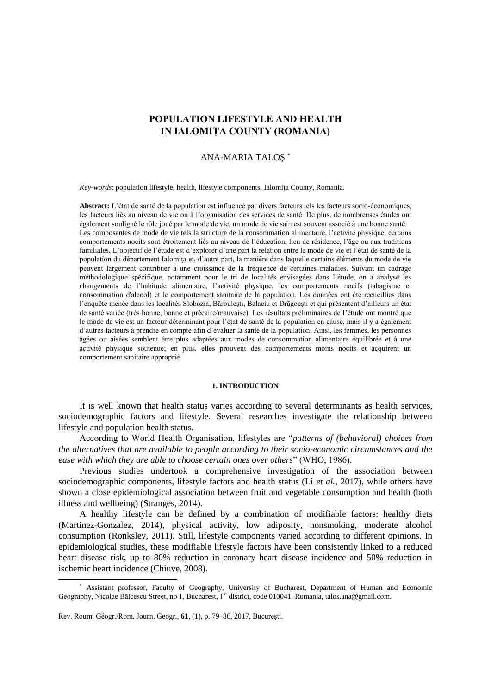# **POPULATION LIFESTYLE AND HEALTH IN IALOMIŢA COUNTY (ROMANIA)**

## ANA-MARIA TALOŞ

*Key-words*: population lifestyle, health, lifestyle components, Ialomiţa County, Romania.

**Abstract:** L'état de santé de la population est influencé par divers facteurs tels les facteurs socio-économiques, les facteurs liés au niveau de vie ou à l'organisation des services de santé. De plus, de nombreuses études ont également souligné le rôle joué par le mode de vie; un mode de vie sain est souvent associé à une bonne santé. Les composantes de mode de vie tels la structure de la consommation alimentaire, l'activité physique, certains comportements nocifs sont étroitement liés au niveau de l'éducation, lieu de résidence, l'âge ou aux traditions familiales. L'objectif de l'étude est d'explorer d'une part la relation entre le mode de vie et l'état de santé de la population du département Ialomita et, d'autre part, la manière dans laquelle certains éléments du mode de vie peuvent largement contribuer à une croissance de la fréquence de certaines maladies. Suivant un cadrage méthodologique spécifique, notamment pour le tri de localités envisagées dans l'étude, on a analysé les changements de l'habitude alimentaire, l'activité physique, les comportements nocifs (tabagisme et consommation d'alcool) et le comportement sanitaire de la population. Les données ont été recueillies dans l'enquête menée dans les localités Slobozia, Bărbuleşti, Balaciu et Drăgoeşti et qui présentent d'ailleurs un état de santé variée (très bonne, bonne et précaire/mauvaise). Les résultats préliminaires de l'étude ont montré que le mode de vie est un facteur déterminant pour l'état de santé de la population en cause, mais il y a également d'autres facteurs à prendre en compte afin d'évaluer la santé de la population. Ainsi, les femmes, les personnes âgées ou aisées semblent être plus adaptées aux modes de consommation alimentaire équilibrée et à une activité physique soutenue; en plus, elles prouvent des comportements moins nocifs et acquirent un comportement sanitaire approprié.

#### **1. INTRODUCTION**

It is well known that health status varies according to several determinants as health services, sociodemographic factors and lifestyle. Several researches investigate the relationship between lifestyle and population health status.

According to World Health Organisation, lifestyles are "*patterns of (behavioral) choices from the alternatives that are available to people according to their socio-economic circumstances and the ease with which they are able to choose certain ones over others*" (WHO, 1986).

Previous studies undertook a comprehensive investigation of the association between sociodemographic components, lifestyle factors and health status (Li *et al.*, 2017), while others have shown a close epidemiological association between fruit and vegetable consumption and health (both illness and wellbeing) (Stranges, 2014).

A healthy lifestyle can be defined by a combination of modifiable factors: healthy diets (Martinez-Gonzalez, 2014), physical activity, low adiposity, nonsmoking, moderate alcohol consumption (Ronksley, 2011). Still, lifestyle components varied according to different opinions. In epidemiological studies, these modifiable lifestyle factors have been consistently linked to a reduced heart disease risk, up to 80% reduction in coronary heart disease incidence and 50% reduction in ischemic heart incidence (Chiuve, 2008).

 $\overline{a}$ 

Assistant professor, Faculty of Geography, University of Bucharest, Department of Human and Economic Geography, Nicolae Bălcescu Street, no 1, Bucharest, 1<sup>st</sup> district, code 010041, Romania, talos.ana@gmail.com.

Rev. Roum. Géogr./Rom. Journ. Geogr., **61**, (1), p. 79–86, 2017, Bucureşti.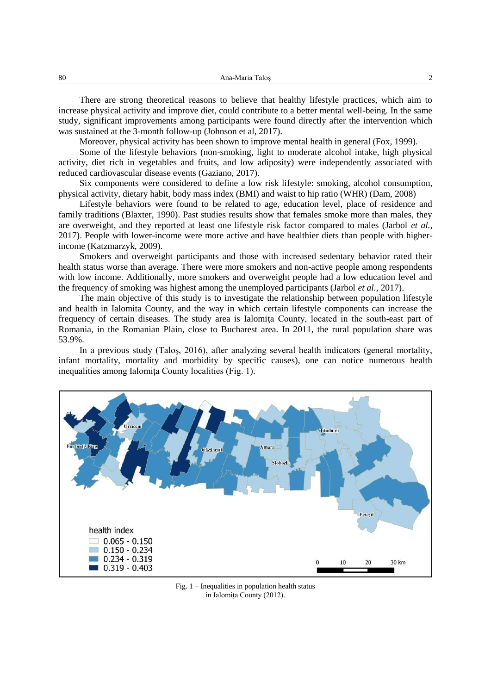| 80 | Ana-Maria Talos |  |
|----|-----------------|--|
|----|-----------------|--|

There are strong theoretical reasons to believe that healthy lifestyle practices, which aim to increase physical activity and improve diet, could contribute to a better mental well-being. In the same study, significant improvements among participants were found directly after the intervention which was sustained at the 3-month follow-up (Johnson et al, 2017).

Moreover, physical activity has been shown to improve mental health in general (Fox, 1999).

Some of the lifestyle behaviors (non-smoking, light to moderate alcohol intake, high physical activity, diet rich in vegetables and fruits, and low adiposity) were independently associated with reduced cardiovascular disease events (Gaziano, 2017).

Six components were considered to define a low risk lifestyle: smoking, alcohol consumption, physical activity, dietary habit, body mass index (BMI) and waist to hip ratio (WHR) (Dam, 2008)

Lifestyle behaviors were found to be related to age, education level, place of residence and family traditions (Blaxter, 1990). Past studies results show that females smoke more than males, they are overweight, and they reported at least one lifestyle risk factor compared to males (Jarbol *et al.*, 2017). People with lower-income were more active and have healthier diets than people with higherincome (Katzmarzyk, 2009).

Smokers and overweight participants and those with increased sedentary behavior rated their health status worse than average. There were more smokers and non-active people among respondents with low income. Additionally, more smokers and overweight people had a low education level and the frequency of smoking was highest among the unemployed participants (Jarbol *et al.*, 2017).

The main objective of this study is to investigate the relationship between population lifestyle and health in Ialomita County, and the way in which certain lifestyle components can increase the frequency of certain diseases. The study area is Ialomiţa County, located in the south-east part of Romania, in the Romanian Plain, close to Bucharest area. In 2011, the rural population share was 53.9%.

In a previous study (Taloş, 2016), after analyzing several health indicators (general mortality, infant mortality, mortality and morbidity by specific causes), one can notice numerous health inequalities among Ialomita County localities (Fig. 1).



Fig. 1 – Inequalities in population health status in Ialomiţa County (2012).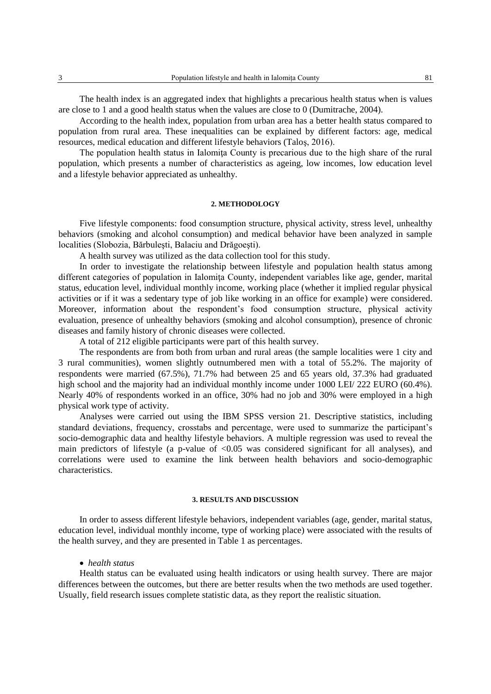The health index is an aggregated index that highlights a precarious health status when is values are close to 1 and a good health status when the values are close to 0 (Dumitrache, 2004).

According to the health index, population from urban area has a better health status compared to population from rural area. These inequalities can be explained by different factors: age, medical resources, medical education and different lifestyle behaviors (Taloş, 2016).

The population health status in Ialomita County is precarious due to the high share of the rural population, which presents a number of characteristics as ageing, low incomes, low education level and a lifestyle behavior appreciated as unhealthy.

## **2. METHODOLOGY**

Five lifestyle components: food consumption structure, physical activity, stress level, unhealthy behaviors (smoking and alcohol consumption) and medical behavior have been analyzed in sample localities (Slobozia, Bărbuleşti, Balaciu and Drăgoeşti).

A health survey was utilized as the data collection tool for this study.

In order to investigate the relationship between lifestyle and population health status among different categories of population in Ialomita County, independent variables like age, gender, marital status, education level, individual monthly income, working place (whether it implied regular physical activities or if it was a sedentary type of job like working in an office for example) were considered. Moreover, information about the respondent's food consumption structure, physical activity evaluation, presence of unhealthy behaviors (smoking and alcohol consumption), presence of chronic diseases and family history of chronic diseases were collected.

A total of 212 eligible participants were part of this health survey.

The respondents are from both from urban and rural areas (the sample localities were 1 city and 3 rural communities), women slightly outnumbered men with a total of 55.2%. The majority of respondents were married (67.5%), 71.7% had between 25 and 65 years old, 37.3% had graduated high school and the majority had an individual monthly income under 1000 LEI/ 222 EURO (60.4%). Nearly 40% of respondents worked in an office, 30% had no job and 30% were employed in a high physical work type of activity.

Analyses were carried out using the IBM SPSS version 21. Descriptive statistics, including standard deviations, frequency, crosstabs and percentage, were used to summarize the participant's socio-demographic data and healthy lifestyle behaviors. A multiple regression was used to reveal the main predictors of lifestyle (a p-value of  $\langle 0.05 \rangle$  was considered significant for all analyses), and correlations were used to examine the link between health behaviors and socio-demographic characteristics.

## **3. RESULTS AND DISCUSSION**

In order to assess different lifestyle behaviors, independent variables (age, gender, marital status, education level, individual monthly income, type of working place) were associated with the results of the health survey, and they are presented in Table 1 as percentages.

## *health status*

Health status can be evaluated using health indicators or using health survey. There are major differences between the outcomes, but there are better results when the two methods are used together. Usually, field research issues complete statistic data, as they report the realistic situation.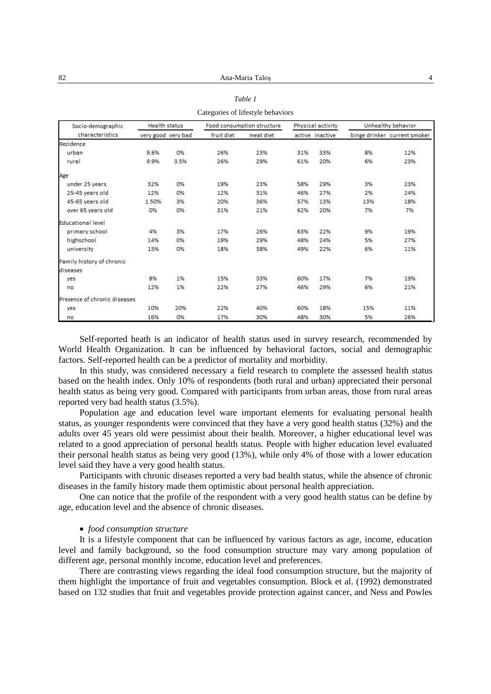| Socio-demographic            | <b>Health status</b> |      | Food consumption structure |           | Physical activity |                 | Unhealthy behavior |                              |
|------------------------------|----------------------|------|----------------------------|-----------|-------------------|-----------------|--------------------|------------------------------|
| characteristics              | very good very bad   |      | fruit diet                 | meat diet |                   | active inactive |                    | binge drinker current smoker |
| <b>Rezidence</b>             |                      |      |                            |           |                   |                 |                    |                              |
| urban                        | 9.6%                 | 0%   | 26%                        | 23%       | 31%               | 33%             | 8%                 | 12%                          |
| rural                        | 9.9%                 | 3.5% | 26%                        | 29%       | 61%               | 20%             | 6%                 | 23%                          |
| Age                          |                      |      |                            |           |                   |                 |                    |                              |
| under 25 years               | 32%                  | 0%   | 19%                        | 23%       | 58%               | 29%             | 3%                 | 23%                          |
| 25-45 years old              | 12%                  | 0%   | 12%                        | 31%       | 46%               | 27%             | 2%                 | 24%                          |
| 45-65 years old              | 1.50%                | 3%   | 20%                        | 36%       | 57%               | 13%             | 13%                | 18%                          |
| over 65 years old            | 0%                   | 0%   | 31%                        | 21%       | 62%               | 20%             | 7%                 | 7%                           |
| Educational level            |                      |      |                            |           |                   |                 |                    |                              |
| primary school               | 4%                   | 3%   | 17%                        | 26%       | 63%               | 22%             | 9%                 | 19%                          |
| highschool                   | 14%                  | 0%   | 19%                        | 29%       | 48%               | 24%             | 5%                 | 27%                          |
| university                   | 13%                  | 0%   | 18%                        | 38%       | 49%               | 22%             | 6%                 | 11%                          |
| Family history of chronic    |                      |      |                            |           |                   |                 |                    |                              |
| diseases                     |                      |      |                            |           |                   |                 |                    |                              |
| yes                          | 8%                   | 1%   | 15%                        | 33%       | 60%               | 17%             | 7%                 | 19%                          |
| no                           | 12%                  | 1%   | 22%                        | 27%       | 46%               | 29%             | 6%                 | 21%                          |
| Prezence of chronic diseases |                      |      |                            |           |                   |                 |                    |                              |
| yes                          | 10%                  | 20%  | 22%                        | 40%       | 60%               | 18%             | 15%                | 11%                          |
| no                           | 16%                  | 0%   | 17%                        | 30%       | 48%               | 30%             | 5%                 | 26%                          |

| Table 1                           |  |
|-----------------------------------|--|
| discovered of lifectule heberiore |  |

Self-reported heath is an indicator of health status used in survey research, recommended by World Health Organization. It can be influenced by behavioral factors, social and demographic factors. Self-reported health can be a predictor of mortality and morbidity.

In this study, was considered necessary a field research to complete the assessed health status based on the health index. Only 10% of respondents (both rural and urban) appreciated their personal health status as being very good. Compared with participants from urban areas, those from rural areas reported very bad health status (3.5%).

Population age and education level ware important elements for evaluating personal health status, as younger respondents were convinced that they have a very good health status (32%) and the adults over 45 years old were pessimist about their health. Moreover, a higher educational level was related to a good appreciation of personal health status. People with higher education level evaluated their personal health status as being very good (13%), while only 4% of those with a lower education level said they have a very good health status.

Participants with chronic diseases reported a very bad health status, while the absence of chronic diseases in the family history made them optimistic about personal health appreciation.

One can notice that the profile of the respondent with a very good health status can be define by age, education level and the absence of chronic diseases.

## *food consumption structure*

It is a lifestyle component that can be influenced by various factors as age, income, education level and family background, so the food consumption structure may vary among population of different age, personal monthly income, education level and preferences.

There are contrasting views regarding the ideal food consumption structure, but the majority of them highlight the importance of fruit and vegetables consumption. Block et al. (1992) demonstrated based on 132 studies that fruit and vegetables provide protection against cancer, and Ness and Powles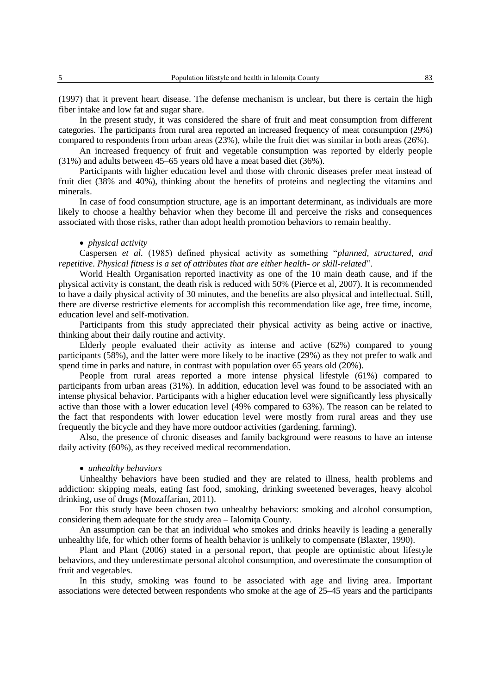(1997) that it prevent heart disease. The defense mechanism is unclear, but there is certain the high fiber intake and low fat and sugar share.

In the present study, it was considered the share of fruit and meat consumption from different categories. The participants from rural area reported an increased frequency of meat consumption (29%) compared to respondents from urban areas (23%), while the fruit diet was similar in both areas (26%).

An increased frequency of fruit and vegetable consumption was reported by elderly people (31%) and adults between 45–65 years old have a meat based diet (36%).

Participants with higher education level and those with chronic diseases prefer meat instead of fruit diet (38% and 40%), thinking about the benefits of proteins and neglecting the vitamins and minerals.

In case of food consumption structure, age is an important determinant, as individuals are more likely to choose a healthy behavior when they become ill and perceive the risks and consequences associated with those risks, rather than adopt health promotion behaviors to remain healthy.

#### *physical activity*

Caspersen *et al.* (1985) defined physical activity as something "*planned, structured, and repetitive. Physical fitness is a set of attributes that are either health- or skill-related*".

World Health Organisation reported inactivity as one of the 10 main death cause, and if the physical activity is constant, the death risk is reduced with 50% (Pierce et al, 2007). It is recommended to have a daily physical activity of 30 minutes, and the benefits are also physical and intellectual. Still, there are diverse restrictive elements for accomplish this recommendation like age, free time, income, education level and self-motivation.

Participants from this study appreciated their physical activity as being active or inactive, thinking about their daily routine and activity.

Elderly people evaluated their activity as intense and active (62%) compared to young participants (58%), and the latter were more likely to be inactive (29%) as they not prefer to walk and spend time in parks and nature, in contrast with population over 65 years old (20%).

People from rural areas reported a more intense physical lifestyle (61%) compared to participants from urban areas (31%). In addition, education level was found to be associated with an intense physical behavior. Participants with a higher education level were significantly less physically active than those with a lower education level (49% compared to 63%). The reason can be related to the fact that respondents with lower education level were mostly from rural areas and they use frequently the bicycle and they have more outdoor activities (gardening, farming).

Also, the presence of chronic diseases and family background were reasons to have an intense daily activity (60%), as they received medical recommendation.

### *unhealthy behaviors*

Unhealthy behaviors have been studied and they are related to illness, health problems and addiction: skipping meals, eating fast food, smoking, drinking sweetened beverages, heavy alcohol drinking, use of drugs (Mozaffarian, 2011).

For this study have been chosen two unhealthy behaviors: smoking and alcohol consumption, considering them adequate for the study area – Ialomita County.

An assumption can be that an individual who smokes and drinks heavily is leading a generally unhealthy life, for which other forms of health behavior is unlikely to compensate (Blaxter, 1990).

Plant and Plant (2006) stated in a personal report, that people are optimistic about lifestyle behaviors, and they underestimate personal alcohol consumption, and overestimate the consumption of fruit and vegetables.

In this study, smoking was found to be associated with age and living area. Important associations were detected between respondents who smoke at the age of 25–45 years and the participants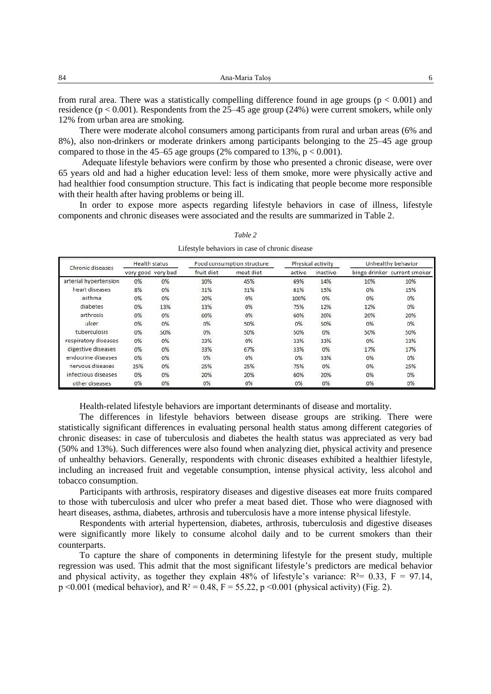from rural area. There was a statistically compelling difference found in age groups ( $p < 0.001$ ) and residence (p < 0.001). Respondents from the 25–45 age group (24%) were current smokers, while only 12% from urban area are smoking.

There were moderate alcohol consumers among participants from rural and urban areas (6% and 8%), also non-drinkers or moderate drinkers among participants belonging to the 25–45 age group compared to those in the 45–65 age groups (2% compared to 13%,  $p < 0.001$ ).

Adequate lifestyle behaviors were confirm by those who presented a chronic disease, were over 65 years old and had a higher education level: less of them smoke, more were physically active and had healthier food consumption structure. This fact is indicating that people become more responsible with their health after having problems or being ill.

In order to expose more aspects regarding lifestyle behaviors in case of illness, lifestyle components and chronic diseases were associated and the results are summarized in Table 2.

| Chronic diseases      | <b>Health status</b> |       | Food consumption structure |           |        | Physical activity | Unhealthy behavior |                              |
|-----------------------|----------------------|-------|----------------------------|-----------|--------|-------------------|--------------------|------------------------------|
|                       | very good very bad   |       | fruit diet                 | meat diet | active | inactive          |                    | binge drinker current smoker |
| arterial hypertension | 0%                   | $0\%$ | 10%                        | 45%       | 69%    | 14%               | 10%                | 10%                          |
| heart diseases        | 8%                   | 0%    | 31%                        | 31%       | 61%    | 15%               | 0%                 | 15%                          |
| asthma                | 0%                   | 0%    | 20%                        | 0%        | 100%   | 0%                | 0%                 | 0%                           |
| diabetes              | 0%                   | 13%   | 13%                        | 0%        | 75%    | 12%               | 12%                | 0%                           |
| arthrosis             | 0%                   | 0%    | 60%                        | 0%        | 60%    | 20%               | 20%                | 20%                          |
| ulcer                 | 0%                   | 0%    | 0%                         | 50%       | 0%     | 50%               | 0%                 | 0%                           |
| tuberculosis          | 0%                   | 50%   | 0%                         | 50%       | 50%    | 0%                | 50%                | 50%                          |
| respiratory diseases  | 0%                   | 0%    | 33%                        | 0%        | 33%    | 33%               | 0%                 | 33%                          |
| digestive diseases    | 0%                   | 0%    | 33%                        | 67%       | 33%    | 0%                | 17%                | 17%                          |
| endocrine diseases    | 0%                   | 0%    | 0%                         | 0%        | 0%     | 33%               | 0%                 | 0%                           |
| nervous diseases      | 25%                  | 0%    | 25%                        | 25%       | 75%    | 0%                | 0%                 | 25%                          |
| infectious diseases   | 0%                   | 0%    | 20%                        | 20%       | 60%    | 20%               | 0%                 | 0%                           |
| other diseases        | 0%                   | 0%    | 0%                         | 0%        | 0%     | 0%                | 0%                 | 0%                           |

*Table 2*

Lifestyle behaviors in case of chronic disease

Health-related lifestyle behaviors are important determinants of disease and mortality.

The differences in lifestyle behaviors between disease groups are striking. There were statistically significant differences in evaluating personal health status among different categories of chronic diseases: in case of tuberculosis and diabetes the health status was appreciated as very bad (50% and 13%). Such differences were also found when analyzing diet, physical activity and presence of unhealthy behaviors. Generally, respondents with chronic diseases exhibited a healthier lifestyle, including an increased fruit and vegetable consumption, intense physical activity, less alcohol and tobacco consumption.

Participants with arthrosis, respiratory diseases and digestive diseases eat more fruits compared to those with tuberculosis and ulcer who prefer a meat based diet. Those who were diagnosed with heart diseases, asthma, diabetes, arthrosis and tuberculosis have a more intense physical lifestyle.

Respondents with arterial hypertension, diabetes, arthrosis, tuberculosis and digestive diseases were significantly more likely to consume alcohol daily and to be current smokers than their counterparts.

To capture the share of components in determining lifestyle for the present study, multiple regression was used. This admit that the most significant lifestyle's predictors are medical behavior and physical activity, as together they explain 48% of lifestyle's variance:  $R^2 = 0.33$ ,  $F = 97.14$ ,  $p \le 0.001$  (medical behavior), and  $R^2 = 0.48$ ,  $F = 55.22$ ,  $p \le 0.001$  (physical activity) (Fig. 2).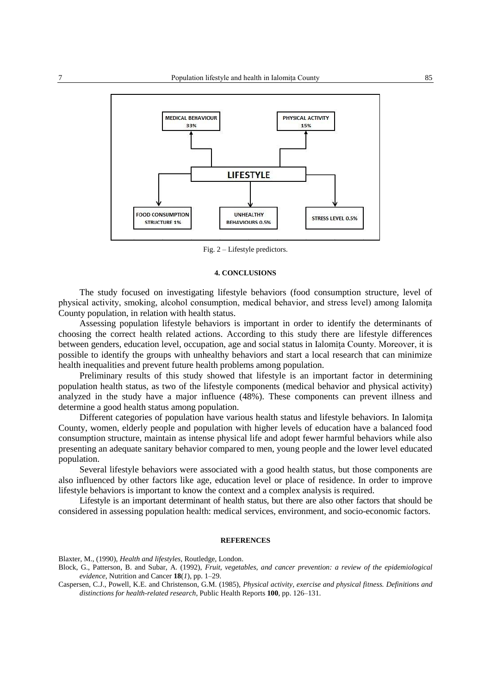

Fig. 2 – Lifestyle predictors.

#### **4. CONCLUSIONS**

The study focused on investigating lifestyle behaviors (food consumption structure, level of physical activity, smoking, alcohol consumption, medical behavior, and stress level) among Ialomita County population, in relation with health status.

Assessing population lifestyle behaviors is important in order to identify the determinants of choosing the correct health related actions. According to this study there are lifestyle differences between genders, education level, occupation, age and social status in Ialomita County. Moreover, it is possible to identify the groups with unhealthy behaviors and start a local research that can minimize health inequalities and prevent future health problems among population.

Preliminary results of this study showed that lifestyle is an important factor in determining population health status, as two of the lifestyle components (medical behavior and physical activity) analyzed in the study have a major influence (48%). These components can prevent illness and determine a good health status among population.

Different categories of population have various health status and lifestyle behaviors. In Ialomiţa County, women, elderly people and population with higher levels of education have a balanced food consumption structure, maintain as intense physical life and adopt fewer harmful behaviors while also presenting an adequate sanitary behavior compared to men, young people and the lower level educated population.

Several lifestyle behaviors were associated with a good health status, but those components are also influenced by other factors like age, education level or place of residence. In order to improve lifestyle behaviors is important to know the context and a complex analysis is required.

Lifestyle is an important determinant of health status, but there are also other factors that should be considered in assessing population health: medical services, environment, and socio-economic factors.

#### **REFERENCES**

Blaxter, M., (1990), *Health and lifestyles*, Routledge, London.

Block, G., Patterson, B. and Subar, A. (1992), *Fruit, vegetables, and cancer prevention: a review of the epidemiological evidence*, Nutrition and Cancer **18**(*1*), pp. 1–29.

Caspersen, C.J., Powell, K.E. and Christenson, G.M. (1985), *Physical activity, exercise and physical fitness. Definitions and distinctions for health-related research*, Public Health Reports **100**, pp. 126–131.